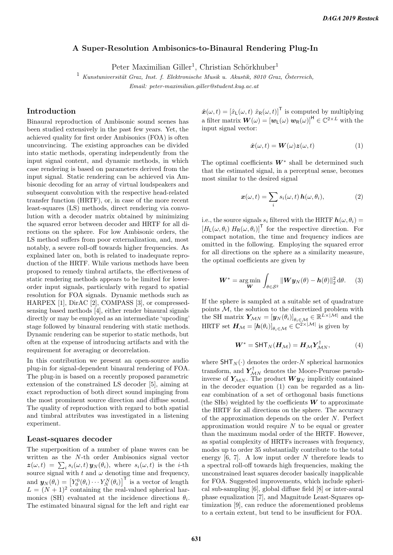# A Super-Resolution Ambisonics-to-Binaural Rendering Plug-In

Peter Maximilian Giller<sup>1</sup>, Christian Schörkhuber<sup>1</sup>

 $1$  Kunstuniversität Graz, Inst. f. Elektronische Musik u. Akustik, 8010 Graz, Österreich, Email: peter-maximilian.giller@student.kug.ac.at

# Introduction

Binaural reproduction of Ambisonic sound scenes has been studied extensively in the past few years. Yet, the achieved quality for first order Ambisonics (FOA) is often unconvincing. The existing approaches can be divided into static methods, operating independently from the input signal content, and dynamic methods, in which case rendering is based on parameters derived from the input signal. Static rendering can be achieved via Ambisonic decoding for an array of virtual loudspeakers and subsequent convolution with the respective head-related transfer function (HRTF), or, in case of the more recent least-squares (LS) methods, direct rendering via convolution with a decoder matrix obtained by minimizing the squared error between decoder and HRTF for all directions on the sphere. For low Ambisonic orders, the LS method suffers from poor externalization, and, most notably, a severe roll-off towards higher frequencies. As explained later on, both is related to inadequate reproduction of the HRTF. While various methods have been proposed to remedy timbral artifacts, the effectiveness of static rendering methods appears to be limited for lowerorder input signals, particularly with regard to spatial resolution for FOA signals. Dynamic methods such as HARPEX [1], DirAC [2], COMPASS [3], or compressedsensing based methods [4], either render binaural signals directly or may be employed as an intermediate 'upcoding' stage followed by binaural rendering with static methods. Dynamic rendering can be superior to static methods, but often at the expense of introducing artifacts and with the requirement for averaging or decorrelation.

In this contribution we present an open-source audio plug-in for signal-dependent binaural rendering of FOA. The plug-in is based on a recently proposed parametric extension of the constrained LS decoder [5], aiming at exact reproduction of both direct sound impinging from the most prominent source direction and diffuse sound. The quality of reproduction with regard to both spatial and timbral attributes was investigated in a listening experiment.

#### Least-squares decoder

The superposition of a number of plane waves can be written as the N-th order Ambisonics signal vector  $z(\omega, t) = \sum_i s_i(\omega, t) y_N(\theta_i)$ , where  $s_i(\omega, t)$  is the *i*-th source signal with t and  $\omega$  denoting time and frequency, and  $\mathbf{y}_N(\theta_i) = \left[Y_0^0(\theta_i) \cdots Y_N^N(\theta_i)\right]^\mathsf{T}$  is a vector of length  $L = (N + 1)^2$  containing the real-valued spherical harmonics (SH) evaluated at the incidence directions  $\theta_i$ . The estimated binaural signal for the left and right ear

 $\hat{\boldsymbol{x}}(\omega, t) = [\hat{x}_{\mathsf{L}}(\omega, t) \ \hat{x}_{\mathsf{R}}(\omega, t)]^{\mathsf{T}}$  is computed by multiplying a filter matrix  $\bm{W}(\omega) = [\bm{w}_L(\omega) \; \bm{w}_R(\omega)]^{\sf H} \in \mathbb{C}^{2 \times L}$  with the input signal vector:

$$
\hat{\mathbf{x}}(\omega, t) = \mathbf{W}(\omega) \mathbf{z}(\omega, t) \tag{1}
$$

The optimal coefficients  $W^*$  shall be determined such that the estimated signal, in a perceptual sense, becomes most similar to the desired signal

$$
\boldsymbol{x}(\omega, t) = \sum_{i} s_i(\omega, t) \, \boldsymbol{h}(\omega, \theta_i), \tag{2}
$$

i.e., the source signals  $s_i$  filtered with the HRTF  $h(\omega, \theta_i) =$  $[H_L(\omega, \theta_i) H_R(\omega, \theta_i)]^{\mathsf{T}}$  for the respective direction. For compact notation, the time and frequency indices are omitted in the following. Employing the squared error for all directions on the sphere as a similarity measure, the optimal coefficients are given by

$$
\boldsymbol{W}^* = \arg\min_{\boldsymbol{W}} \int_{\theta \in \mathcal{S}^2} ||\boldsymbol{W} \boldsymbol{y}_N(\theta) - \boldsymbol{h}(\theta)||_2^2 d\theta. \tag{3}
$$

If the sphere is sampled at a suitable set of quadrature points  $M$ , the solution to the discretized problem with the SH matrix  $\mathbf{Y}_{\mathcal{M}N} = [\mathbf{y}_N(\theta_i)]_{\theta_i \in \mathcal{M}} \in \mathbb{R}^{L \times |\mathcal{M}|}$  and the HRTF set  $\boldsymbol{H}_{\mathcal{M}} = [\boldsymbol{h}(\theta_i)]_{\theta_i \in \mathcal{M}} \in \mathbb{C}^{2 \times |\mathcal{M}|}$  is given by

$$
W^* = \text{SHT}_N(H_{\mathcal{M}}) = H_{\mathcal{M}} Y_{\mathcal{M}N}^\dagger,\tag{4}
$$

where  $\text{SHT}_N(\cdot)$  denotes the order-N spherical harmonics transform, and  $\boldsymbol{Y}_{\mathcal{M}N}^{\dagger}$  denotes the Moore-Penrose pseudoinverse of  $Y_{MN}$ . The product  $W y_N$  implicitly contained in the decoder equation (1) can be regarded as a linear combination of a set of orthogonal basis functions (the SHs) weighted by the coefficients  $W$  to approximate the HRTF for all directions on the sphere. The accuracy of the approximation depends on the order N. Perfect approximation would require  $N$  to be equal or greater than the maximum modal order of the HRTF. However, as spatial complexity of HRTFs increases with frequency, modes up to order 35 substantially contribute to the total energy  $[6, 7]$ . A low input order N therefore leads to a spectral roll-off towards high frequencies, making the unconstrained least squares decoder basically inapplicable for FOA. Suggested improvements, which include spherical sub-sampling [6], global diffuse field [8] or inter-aural phase equalization [7], and Magnitude Least-Squares optimization [9], can reduce the aforementioned problems to a certain extent, but tend to be insufficient for FOA.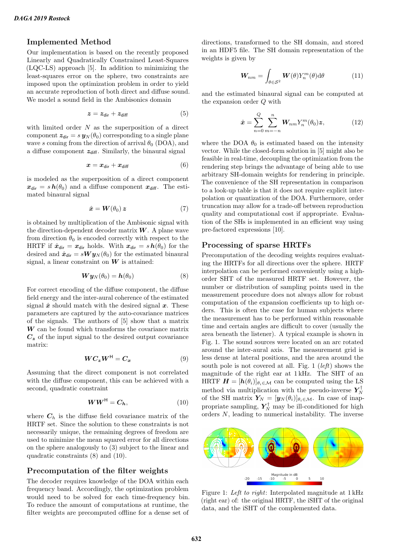# Implemented Method

Our implementation is based on the recently proposed Linearly and Quadratically Constrained Least-Squares (LQC-LS) approach [5]. In addition to minimizing the least-squares error on the sphere, two constraints are imposed upon the optimization problem in order to yield an accurate reproduction of both direct and diffuse sound. We model a sound field in the Ambisonics domain

$$
z = z_{\text{dir}} + z_{\text{diff}} \tag{5}
$$

with limited order  $N$  as the superposition of a direct component  $z_{\text{dir}} = s y_N(\theta_0)$  corresponding to a single plane wave s coming from the direction of arrival  $\theta_0$  (DOA), and a diffuse component  $z_{diff}$ . Similarly, the binaural signal

$$
x = x_{\text{dir}} + x_{\text{diff}} \tag{6}
$$

is modeled as the superposition of a direct component  $x_{\text{dir}} = s h(\theta_0)$  and a diffuse component  $x_{\text{diff}}$ . The estimated binaural signal

$$
\hat{\boldsymbol{x}} = \boldsymbol{W}(\theta_0) \, \boldsymbol{z} \tag{7}
$$

is obtained by multiplication of the Ambisonic signal with the direction-dependent decoder matrix  $W$ . A plane wave from direction  $\theta_0$  is encoded correctly with respect to the HRTF if  $\hat{x}_{dir} = x_{dir}$  holds. With  $x_{dir} = s h(\theta_0)$  for the desired and  $\hat{x}_{\text{dir}} = sW y_N(\theta_0)$  for the estimated binaural signal, a linear constraint on  $W$  is attained:

$$
\mathbf{W}\mathbf{y}_N(\theta_0) = \mathbf{h}(\theta_0) \tag{8}
$$

For correct encoding of the diffuse component, the diffuse field energy and the inter-aural coherence of the estimated signal  $\hat{x}$  should match with the desired signal x. These parameters are captured by the auto-covariance matrices of the signals. The authors of [5] show that a matrix  $\boldsymbol{W}$  can be found which transforms the covariance matrix  $C<sub>z</sub>$  of the input signal to the desired output covariance matrix:

$$
WC_z W^{\mathsf{H}} = C_x \tag{9}
$$

Assuming that the direct component is not correlated with the diffuse component, this can be achieved with a second, quadratic constraint

$$
WW^{\mathsf{H}} = C_h,\tag{10}
$$

where  $C_h$  is the diffuse field covariance matrix of the HRTF set. Since the solution to these constraints is not necessarily unique, the remaining degrees of freedom are used to minimize the mean squared error for all directions on the sphere analogously to (3) subject to the linear and quadratic constraints (8) and (10).

#### Precomputation of the filter weights

The decoder requires knowledge of the DOA within each frequency band. Accordingly, the optimization problem would need to be solved for each time-frequency bin. To reduce the amount of computations at runtime, the filter weights are precomputed offline for a dense set of

directions, transformed to the SH domain, and stored in an HDF5 file. The SH domain representation of the weights is given by

$$
\mathbf{W}_{nm} = \int_{\theta \in \mathcal{S}^2} \mathbf{W}(\theta) Y_n^m(\theta) d\theta \tag{11}
$$

and the estimated binaural signal can be computed at the expansion order Q with

$$
\hat{\boldsymbol{x}} = \sum_{n=0}^{Q} \sum_{m=-n}^{n} \boldsymbol{W}_{nm} Y_n^m(\theta_0) \boldsymbol{z},
$$
\n(12)

where the DOA  $\theta_0$  is estimated based on the intensity vector. While the closed-form solution in [5] might also be feasible in real-time, decoupling the optimization from the rendering step brings the advantage of being able to use arbitrary SH-domain weights for rendering in principle. The convenience of the SH representation in comparison to a look-up table is that it does not require explicit interpolation or quantization of the DOA. Furthermore, order truncation may allow for a trade-off between reproduction quality and computational cost if appropriate. Evaluation of the SHs is implemented in an efficient way using pre-factored expressions [10].

# Processing of sparse HRTFs

Precomputation of the decoding weights requires evaluating the HRTFs for all directions over the sphere. HRTF interpolation can be performed conveniently using a highorder SHT of the measured HRTF set. However, the number or distribution of sampling points used in the measurement procedure does not always allow for robust computation of the expansion coefficients up to high orders. This is often the case for human subjects where the measurement has to be performed within reasonable time and certain angles are difficult to cover (usually the area beneath the listener). A typical example is shown in Fig. 1. The sound sources were located on an arc rotated around the inter-aural axis. The measurement grid is less dense at lateral positions, and the area around the south pole is not covered at all. Fig. 1 (*left*) shows the magnitude of the right ear at 1 kHz. The SHT of an HRTF  $\mathbf{H} = [\mathbf{h}(\theta_i)]_{\theta_i \in \mathcal{M}}$  can be computed using the LS method via multiplication with the pseudo-inverse  $Y_N^{\dagger}$ of the SH matrix  $\mathbf{Y}_N = [\mathbf{y}_N(\theta_i)]_{\theta_i \in \mathcal{M}}$ . In case of inappropriate sampling,  $Y_N^{\dagger}$  may be ill-conditioned for high orders  $N$ , leading to numerical instability. The inverse



Figure 1: Left to right: Interpolated magnitude at 1 kHz (right ear) of: the original HRTF, the iSHT of the original data, and the iSHT of the complemented data.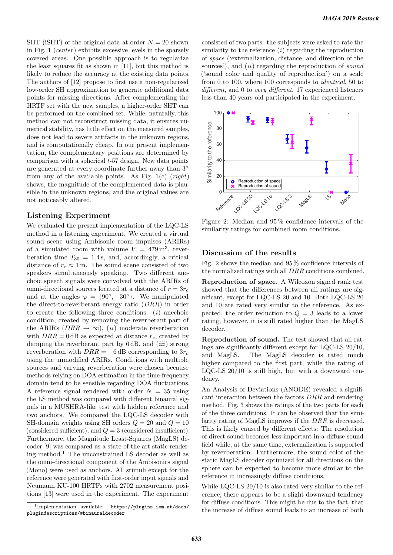SHT (iSHT) of the original data at order  $N = 20$  shown in Fig. 1 (*center*) exhibits excessive levels in the sparsely covered areas. One possible approach is to regularize the least squares fit as shown in [11], but this method is likely to reduce the accuracy at the existing data points. The authors of [12] propose to first use a non-regularized low-order SH approximation to generate additional data points for missing directions. After complementing the HRTF set with the new samples, a higher-order SHT can be performed on the combined set. While, naturally, this method can not reconstruct missing data, it ensures numerical stability, has little effect on the measured samples, does not lead to severe artifacts in the unknown regions, and is computationally cheap. In our present implementation, the complementary positions are determined by comparison with a spherical  $t$ -57 design. New data points are generated at every coordinate further away than 3◦ from any of the available points. As Fig.  $1(c)$  (right) shows, the magnitude of the complemented data is plausible in the unknown regions, and the original values are not noticeably altered.

# Listening Experiment

We evaluated the present implementation of the LQC-LS method in a listening experiment. We created a virtual sound scene using Ambisonic room impulses (ARIRs) of a simulated room with volume  $V = 479 \,\mathrm{m}^3$ , reverberation time  $T_{30} = 1.4$  s, and, accordingly, a critical distance of  $r_c \approx 1 \,\mathrm{m}$ . The sound scene consisted of two speakers simultaneously speaking. Two different anechoic speech signals were convolved with the ARIRs of omni-directional sources located at a distance of  $r = 3r_c$ and at the angles  $\varphi = \{90^\circ, -30^\circ\}$ . We manipulated the direct-to-reverberant energy ratio (DRR) in order to create the following three conditions:  $(i)$  anechoic condition, created by removing the reverberant part of the ARIRs  $(DRR \rightarrow \infty)$ , (*ii*) moderate reverberation with  $DRR = 0$  dB as expected at distance  $r_c$ , created by damping the reverberant part by  $6 dB$ , and  $(iii)$  strong reverberation with  $DRR = -6$  dB corresponding to  $3r_c$ using the unmodified ARIRs. Conditions with multiple sources and varying reverberation were chosen because methods relying on DOA estimation in the time-frequency domain tend to be sensible regarding DOA fluctuations. A reference signal rendered with order  $N = 35$  using the LS method was compared with different binaural signals in a MUSHRA-like test with hidden reference and two anchors. We compared the LQC-LS decoder with SH-domain weights using SH orders  $Q = 20$  and  $Q = 10$ (considered sufficient), and  $Q = 3$  (considered insufficient). Furthermore, the Magnitude Least-Squares (MagLS) decoder [9] was compared as a state-of-the-art static rendering method.<sup>1</sup> The unconstrained LS decoder as well as the omni-directional component of the Ambisonics signal (Mono) were used as anchors. All stimuli except for the reference were generated with first-order input signals and Neumann KU-100 HRTFs with 2702 measurement positions [13] were used in the experiment. The experiment

consisted of two parts: the subjects were asked to rate the similarity to the reference  $(i)$  regarding the reproduction of space ('externalization, distance, and direction of the sources'), and *(ii)* regarding the reproduction of *sound* ('sound color and quality of reproduction') on a scale from 0 to 100, where 100 corresponds to identical, 50 to different, and 0 to very different. 17 experienced listeners less than 40 years old participated in the experiment.



Figure 2: Median and 95 % confidence intervals of the similarity ratings for combined room conditions.

### Discussion of the results

Fig. 2 shows the median and 95 % confidence intervals of the normalized ratings with all DRR conditions combined.

Reproduction of space. A Wilcoxon signed rank test showed that the differences between all ratings are significant, except for LQC-LS 20 and 10. Both LQC-LS 20 and 10 are rated very similar to the reference. As expected, the order reduction to  $Q = 3$  leads to a lower rating, however, it is still rated higher than the MagLS decoder.

Reproduction of sound. The test showed that all ratings are significantly different except for LQC-LS 20/10, and MagLS. The MagLS decoder is rated much higher compared to the first part, while the rating of LQC-LS 20/10 is still high, but with a downward tendency.

An Analysis of Deviations (ANODE) revealed a significant interaction between the factors DRR and rendering method. Fig. 3 shows the ratings of the two parts for each of the three conditions. It can be observed that the similarity rating of MagLS improves if the DRR is decreased. This is likely caused by different effects: The resolution of direct sound becomes less important in a diffuse sound field while, at the same time, externalization is supported by reverberation. Furthermore, the sound color of the static MagLS decoder optimized for all directions on the sphere can be expected to become more similar to the reference in increasingly diffuse conditions.

While LQC-LS 20/10 is also rated very similar to the reference, there appears to be a slight downward tendency for diffuse conditions. This might be due to the fact, that the increase of diffuse sound leads to an increase of both

<sup>1</sup> Implementation available: https://plugins.iem.at/docs/ plugindescriptions/#binauraldecoder